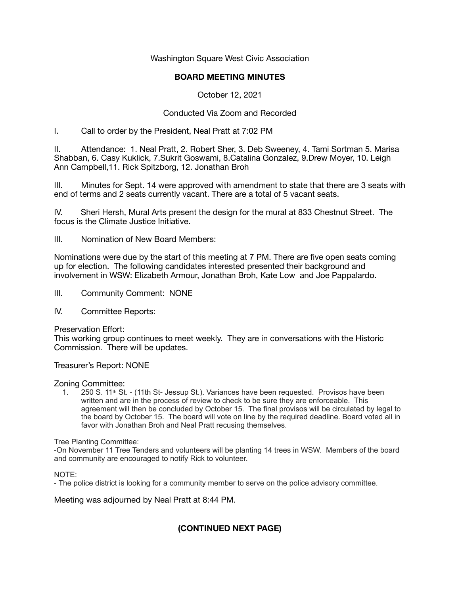Washington Square West Civic Association

### **BOARD MEETING MINUTES**

October 12, 2021

# Conducted Via Zoom and Recorded

I. Call to order by the President, Neal Pratt at 7:02 PM

II. Attendance: 1. Neal Pratt, 2. Robert Sher, 3. Deb Sweeney, 4. Tami Sortman 5. Marisa Shabban, 6. Casy Kuklick, 7.Sukrit Goswami, 8.Catalina Gonzalez, 9.Drew Moyer, 10. Leigh Ann Campbell,11. Rick Spitzborg, 12. Jonathan Broh

III. Minutes for Sept. 14 were approved with amendment to state that there are 3 seats with end of terms and 2 seats currently vacant. There are a total of 5 vacant seats.

IV. Sheri Hersh, Mural Arts present the design for the mural at 833 Chestnut Street. The focus is the Climate Justice Initiative.

III. Nomination of New Board Members:

Nominations were due by the start of this meeting at 7 PM. There are five open seats coming up for election. The following candidates interested presented their background and involvement in WSW: Elizabeth Armour, Jonathan Broh, Kate Low and Joe Pappalardo.

- III. Community Comment: NONE
- IV. Committee Reports:

#### Preservation Effort:

This working group continues to meet weekly. They are in conversations with the Historic Commission. There will be updates.

Treasurer's Report: NONE

#### Zoning Committee:

1.  $\overline{250}$  S. 11<sup>th</sup> St. - (11th St- Jessup St.). Variances have been requested. Provisos have been written and are in the process of review to check to be sure they are enforceable. This agreement will then be concluded by October 15. The final provisos will be circulated by legal to the board by October 15. The board will vote on line by the required deadline. Board voted all in favor with Jonathan Broh and Neal Pratt recusing themselves.

Tree Planting Committee:

-On November 11 Tree Tenders and volunteers will be planting 14 trees in WSW. Members of the board and community are encouraged to notify Rick to volunteer.

NOTE:

- The police district is looking for a community member to serve on the police advisory committee.

Meeting was adjourned by Neal Pratt at 8:44 PM.

# **(CONTINUED NEXT PAGE)**